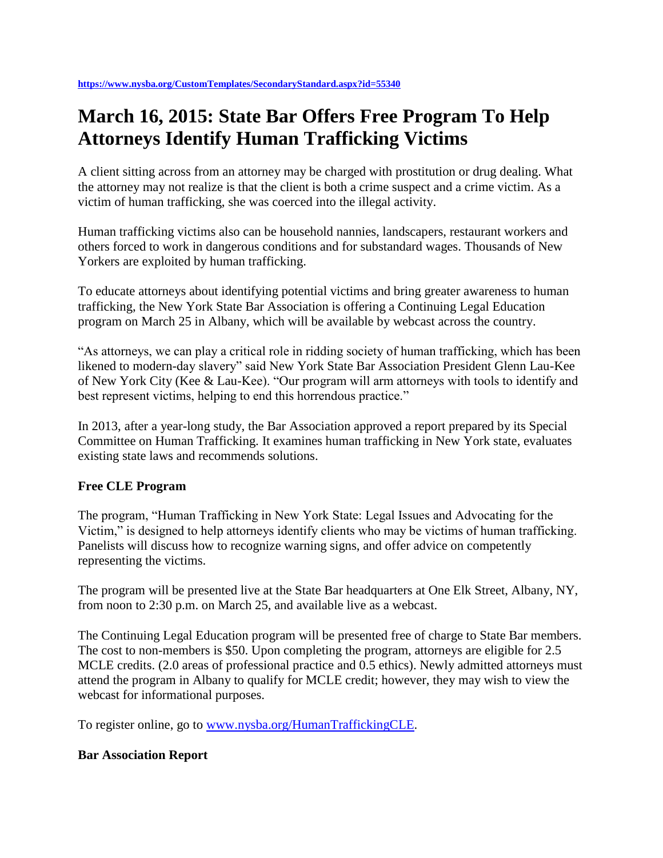## **March 16, 2015: State Bar Offers Free Program To Help Attorneys Identify Human Trafficking Victims**

A client sitting across from an attorney may be charged with prostitution or drug dealing. What the attorney may not realize is that the client is both a crime suspect and a crime victim. As a victim of human trafficking, she was coerced into the illegal activity.

Human trafficking victims also can be household nannies, landscapers, restaurant workers and others forced to work in dangerous conditions and for substandard wages. Thousands of New Yorkers are exploited by human trafficking.

To educate attorneys about identifying potential victims and bring greater awareness to human trafficking, the New York State Bar Association is offering a Continuing Legal Education program on March 25 in Albany, which will be available by webcast across the country.

"As attorneys, we can play a critical role in ridding society of human trafficking, which has been likened to modern-day slavery" said New York State Bar Association President Glenn Lau-Kee of New York City (Kee & Lau-Kee). "Our program will arm attorneys with tools to identify and best represent victims, helping to end this horrendous practice."

In 2013, after a year-long study, the Bar Association approved a report prepared by its Special Committee on Human Trafficking. It examines human trafficking in New York state, evaluates existing state laws and recommends solutions.

## **Free CLE Program**

The program, "Human Trafficking in New York State: Legal Issues and Advocating for the Victim," is designed to help attorneys identify clients who may be victims of human trafficking. Panelists will discuss how to recognize warning signs, and offer advice on competently representing the victims.

The program will be presented live at the State Bar headquarters at One Elk Street, Albany, NY, from noon to 2:30 p.m. on March 25, and available live as a webcast.

The Continuing Legal Education program will be presented free of charge to State Bar members. The cost to non-members is \$50. Upon completing the program, attorneys are eligible for 2.5 MCLE credits. (2.0 areas of professional practice and 0.5 ethics). Newly admitted attorneys must attend the program in Albany to qualify for MCLE credit; however, they may wish to view the webcast for informational purposes.

To register online, go to [www.nysba.org/HumanTraffickingCLE.](http://www.nysba.org/HumanTraffickingCLE)

## **Bar Association Report**